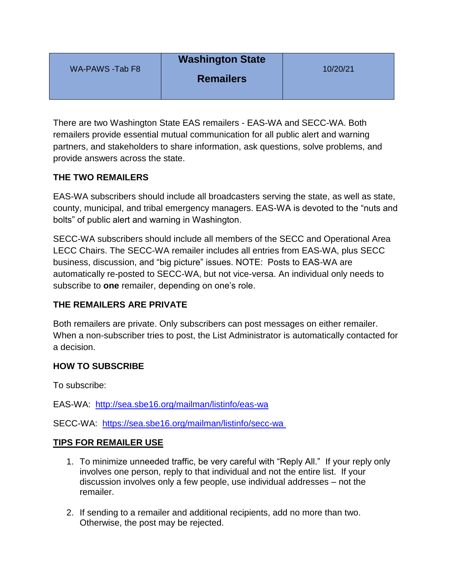| WA-PAWS -Tab F8 | <b>Washington State</b><br><b>Remailers</b> | 10/20/21 |
|-----------------|---------------------------------------------|----------|
|                 |                                             |          |

There are two Washington State EAS remailers - EAS-WA and SECC-WA. Both remailers provide essential mutual communication for all public alert and warning partners, and stakeholders to share information, ask questions, solve problems, and provide answers across the state.

## **THE TWO REMAILERS**

EAS-WA subscribers should include all broadcasters serving the state, as well as state, county, municipal, and tribal emergency managers. EAS-WA is devoted to the "nuts and bolts" of public alert and warning in Washington.

SECC-WA subscribers should include all members of the SECC and Operational Area LECC Chairs. The SECC-WA remailer includes all entries from EAS-WA, plus SECC business, discussion, and "big picture" issues. NOTE: Posts to EAS-WA are automatically re-posted to SECC-WA, but not vice-versa. An individual only needs to subscribe to **one** remailer, depending on one's role.

## **THE REMAILERS ARE PRIVATE**

Both remailers are private. Only subscribers can post messages on either remailer. When a non-subscriber tries to post, the List Administrator is automatically contacted for a decision.

## **HOW TO SUBSCRIBE**

To subscribe:

EAS-WA: <http://sea.sbe16.org/mailman/listinfo/eas-wa>

SECC-WA: <https://sea.sbe16.org/mailman/listinfo/secc-wa>

## **TIPS FOR REMAILER USE**

- 1. To minimize unneeded traffic, be very careful with "Reply All." If your reply only involves one person, reply to that individual and not the entire list. If your discussion involves only a few people, use individual addresses – not the remailer.
- 2. If sending to a remailer and additional recipients, add no more than two. Otherwise, the post may be rejected.